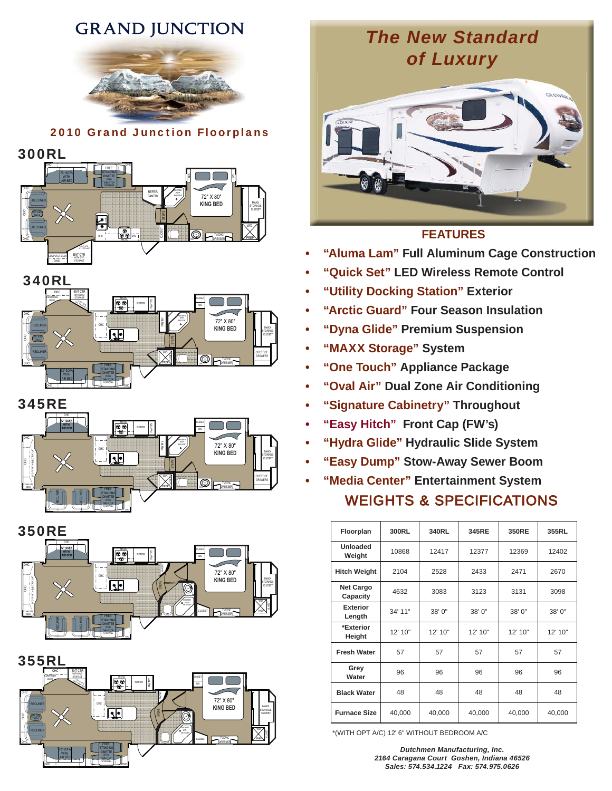# **GRAND JUNCTION**



2010 Grand Junction Floorplans











350RE





# *The New Standard of Luxury*



## **FEATURES**

- **"Aluma Lam" Full Aluminum Cage Construction**
- **"Quick Set" LED Wireless Remote Control**
- **• "Utility Docking Station" Utility Exterior**
- **"Arctic Guard" Four Season Insulation**
- **"Dyna Glide" Premium Suspension**
- **"MAXX Storage" System**
- **"One Touch" Appliance Package**
- **"Oval Air" Dual Zone Air Conditioning**
- **"Signature Cabinetry" Throughout**
- **"Easy Hitch" Front Cap (FW's)**
- **"Hydra Glide" Hydraulic Slide System**
- **"Easy Dump" Stow-Away Sewer Boom**
- **"Media Center" Entertainment System** WEIGHTS & SPECIFICATIONS

| Floorplan                    | 300RL   | 340RL   | 345RE   | <b>350RE</b> | 355RL   |
|------------------------------|---------|---------|---------|--------------|---------|
| Unloaded<br>Weight           | 10868   | 12417   | 12377   | 12369        | 12402   |
| <b>Hitch Weight</b>          | 2104    | 2528    | 2433    | 2471         | 2670    |
| <b>Net Cargo</b><br>Capacity | 4632    | 3083    | 3123    | 3131         | 3098    |
| <b>Exterior</b><br>Length    | 34' 11" | 38'0"   | 38' 0"  | 38'0"        | 38' 0"  |
| *Exterior<br>Height          | 12' 10" | 12' 10" | 12' 10" | 12' 10"      | 12' 10" |
| <b>Fresh Water</b>           | 57      | 57      | 57      | 57           | 57      |
| Grey<br>Water                | 96      | 96      | 96      | 96           | 96      |
| <b>Black Water</b>           | 48      | 48      | 48      | 48           | 48      |
| <b>Furnace Size</b>          | 40,000  | 40,000  | 40,000  | 40,000       | 40,000  |

\*(WITH OPT A/C) 12' 6" WITHOUT BEDROOM A/C